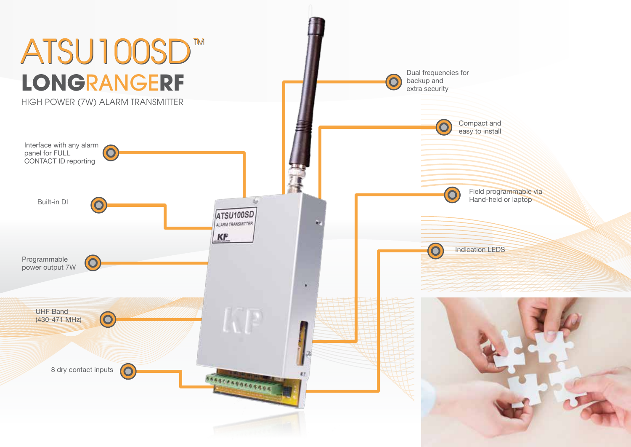